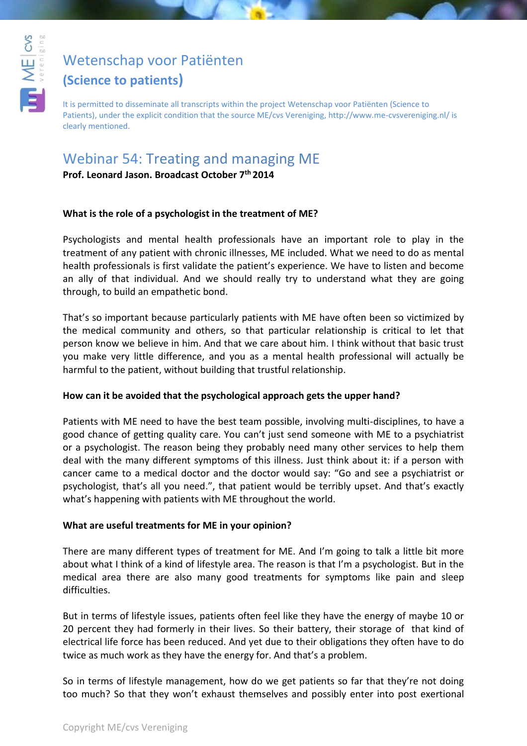

# [Wetenschap voor Patiënten](http://www.youtube.com/user/WetenschapvMEcvsVer)

## **(Science to patients)**

It is permitted to disseminate all transcripts within the project Wetenschap voor Patiënten (Science to Patients), under the explicit condition that the source ME/cvs Vereniging, http://www.me-cvsvereniging.nl/ is clearly mentioned.

# Webinar 54: Treating and managing ME

**Prof. Leonard Jason. Broadcast October 7th 2014**

### **What is the role of a psychologist in the treatment of ME?**

Psychologists and mental health professionals have an important role to play in the treatment of any patient with chronic illnesses, ME included. What we need to do as mental health professionals is first validate the patient's experience. We have to listen and become an ally of that individual. And we should really try to understand what they are going through, to build an empathetic bond.

That's so important because particularly patients with ME have often been so victimized by the medical community and others, so that particular relationship is critical to let that person know we believe in him. And that we care about him. I think without that basic trust you make very little difference, and you as a mental health professional will actually be harmful to the patient, without building that trustful relationship.

### **How can it be avoided that the psychological approach gets the upper hand?**

Patients with ME need to have the best team possible, involving multi-disciplines, to have a good chance of getting quality care. You can't just send someone with ME to a psychiatrist or a psychologist. The reason being they probably need many other services to help them deal with the many different symptoms of this illness. Just think about it: if a person with cancer came to a medical doctor and the doctor would say: "Go and see a psychiatrist or psychologist, that's all you need.", that patient would be terribly upset. And that's exactly what's happening with patients with ME throughout the world.

### **What are useful treatments for ME in your opinion?**

There are many different types of treatment for ME. And I'm going to talk a little bit more about what I think of a kind of lifestyle area. The reason is that I'm a psychologist. But in the medical area there are also many good treatments for symptoms like pain and sleep difficulties.

But in terms of lifestyle issues, patients often feel like they have the energy of maybe 10 or 20 percent they had formerly in their lives. So their battery, their storage of that kind of electrical life force has been reduced. And yet due to their obligations they often have to do twice as much work as they have the energy for. And that's a problem.

So in terms of lifestyle management, how do we get patients so far that they're not doing too much? So that they won't exhaust themselves and possibly enter into post exertional